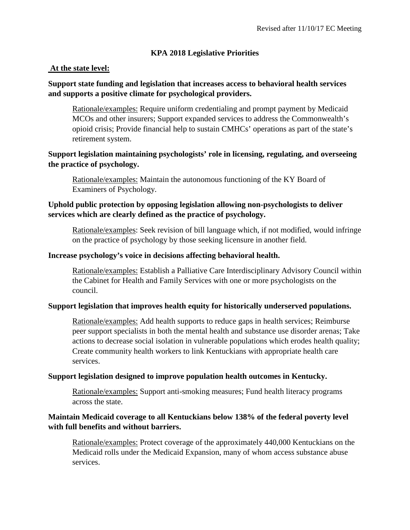# **KPA 2018 Legislative Priorities**

### **At the state level:**

# **Support state funding and legislation that increases access to behavioral health services and supports a positive climate for psychological providers.**

Rationale/examples: Require uniform credentialing and prompt payment by Medicaid MCOs and other insurers; Support expanded services to address the Commonwealth's opioid crisis; Provide financial help to sustain CMHCs' operations as part of the state's retirement system.

## **Support legislation maintaining psychologists' role in licensing, regulating, and overseeing the practice of psychology.**

Rationale/examples: Maintain the autonomous functioning of the KY Board of Examiners of Psychology.

# **Uphold public protection by opposing legislation allowing non-psychologists to deliver services which are clearly defined as the practice of psychology.**

Rationale/examples: Seek revision of bill language which, if not modified, would infringe on the practice of psychology by those seeking licensure in another field.

## **Increase psychology's voice in decisions affecting behavioral health.**

Rationale/examples: Establish a Palliative Care Interdisciplinary Advisory Council within the Cabinet for Health and Family Services with one or more psychologists on the council.

## **Support legislation that improves health equity for historically underserved populations.**

Rationale/examples: Add health supports to reduce gaps in health services; Reimburse peer support specialists in both the mental health and substance use disorder arenas; Take actions to decrease social isolation in vulnerable populations which erodes health quality; Create community health workers to link Kentuckians with appropriate health care services.

#### **Support legislation designed to improve population health outcomes in Kentucky.**

Rationale/examples: Support anti-smoking measures; Fund health literacy programs across the state.

## **Maintain Medicaid coverage to all Kentuckians below 138% of the federal poverty level with full benefits and without barriers.**

Rationale/examples: Protect coverage of the approximately 440,000 Kentuckians on the Medicaid rolls under the Medicaid Expansion, many of whom access substance abuse services.